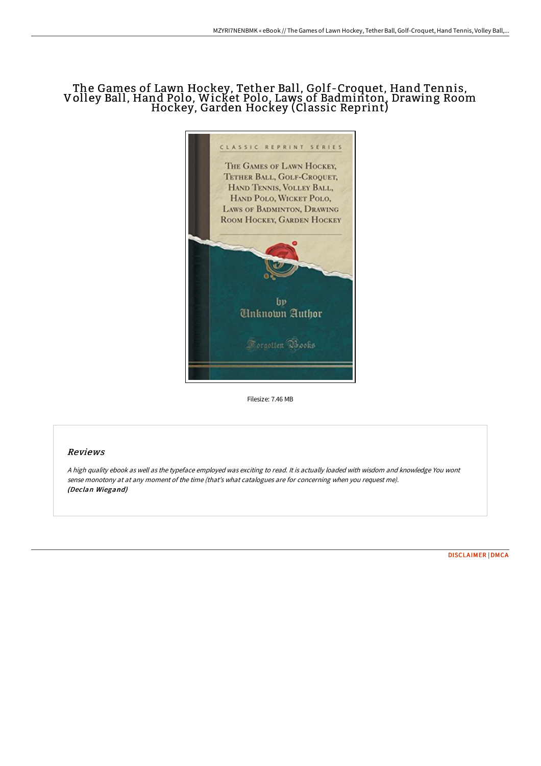## The Games of Lawn Hockey, Tether Ball, Golf-Croquet, Hand Tennis, Volley Ball, Hand Polo, Wicket Polo, Laws of Badminton, Drawing Room Hockey, Garden Hockey (Classic Reprint)



Filesize: 7.46 MB

## Reviews

<sup>A</sup> high quality ebook as well as the typeface employed was exciting to read. It is actually loaded with wisdom and knowledge You wont sense monotony at at any moment of the time (that's what catalogues are for concerning when you request me). (Declan Wiegand)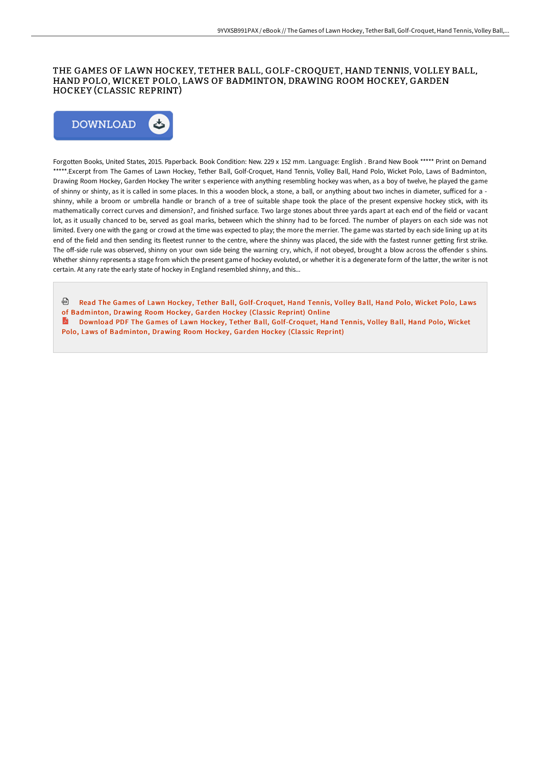## THE GAMES OF LAWN HOCKEY, TETHER BALL, GOLF-CROQUET, HAND TENNIS, VOLLEY BALL, HAND POLO, WICKET POLO, LAWS OF BADMINTON, DRAWING ROOM HOCKEY, GARDEN HOCKEY (CLASSIC REPRINT)



Forgotten Books, United States, 2015. Paperback. Book Condition: New. 229 x 152 mm. Language: English . Brand New Book \*\*\*\*\* Print on Demand \*\*\*\*\*.Excerpt from The Games of Lawn Hockey, Tether Ball, Golf-Croquet, Hand Tennis, Volley Ball, Hand Polo, Wicket Polo, Laws of Badminton, Drawing Room Hockey, Garden Hockey The writer s experience with anything resembling hockey was when, as a boy of twelve, he played the game of shinny or shinty, as it is called in some places. In this a wooden block, a stone, a ball, or anything about two inches in diameter, sufficed for a shinny, while a broom or umbrella handle or branch of a tree of suitable shape took the place of the present expensive hockey stick, with its mathematically correct curves and dimension?, and finished surface. Two large stones about three yards apart at each end of the field or vacant lot, as it usually chanced to be, served as goal marks, between which the shinny had to be forced. The number of players on each side was not limited. Every one with the gang or crowd at the time was expected to play; the more the merrier. The game was started by each side lining up at its end of the field and then sending its fleetest runner to the centre, where the shinny was placed, the side with the fastest runner getting first strike. The off-side rule was observed, shinny on your own side being the warning cry, which, if not obeyed, brought a blow across the offender s shins. Whether shinny represents a stage from which the present game of hockey evoluted, or whether it is a degenerate form of the latter, the writer is not certain. At any rate the early state of hockey in England resembled shinny, and this...

- Read The Games of Lawn Hockey, Tether Ball, [Golf-Croquet,](http://albedo.media/the-games-of-lawn-hockey-tether-ball-golf-croque.html) Hand Tennis, Volley Ball, Hand Polo, Wicket Polo, Laws of Badminton, Drawing Room Hockey, Garden Hockey (Classic Reprint) Online
- Download PDF The Games of Lawn Hockey, Tether Ball, [Golf-Croquet,](http://albedo.media/the-games-of-lawn-hockey-tether-ball-golf-croque.html) Hand Tennis, Volley Ball, Hand Polo, Wicket Polo, Laws of Badminton, Drawing Room Hockey, Garden Hockey (Classic Reprint)